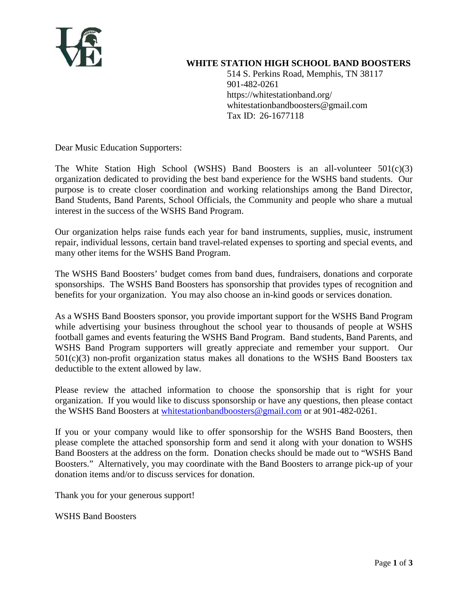

#### **WHITE STATION HIGH SCHOOL BAND BOOSTERS**

514 S. Perkins Road, Memphis, TN 38117 901-482-0261 https://whitestationband.org/ whitestationbandboosters@gmail.com Tax ID: 26-1677118

Dear Music Education Supporters:

The White Station High School (WSHS) Band Boosters is an all-volunteer  $501(c)(3)$ organization dedicated to providing the best band experience for the WSHS band students. Our purpose is to create closer coordination and working relationships among the Band Director, Band Students, Band Parents, School Officials, the Community and people who share a mutual interest in the success of the WSHS Band Program.

Our organization helps raise funds each year for band instruments, supplies, music, instrument repair, individual lessons, certain band travel-related expenses to sporting and special events, and many other items for the WSHS Band Program.

The WSHS Band Boosters' budget comes from band dues, fundraisers, donations and corporate sponsorships. The WSHS Band Boosters has sponsorship that provides types of recognition and benefits for your organization. You may also choose an in-kind goods or services donation.

As a WSHS Band Boosters sponsor, you provide important support for the WSHS Band Program while advertising your business throughout the school year to thousands of people at WSHS football games and events featuring the WSHS Band Program. Band students, Band Parents, and WSHS Band Program supporters will greatly appreciate and remember your support. Our 501(c)(3) non-profit organization status makes all donations to the WSHS Band Boosters tax deductible to the extent allowed by law.

Please review the attached information to choose the sponsorship that is right for your organization. If you would like to discuss sponsorship or have any questions, then please contact the WSHS Band Boosters at [whitestationbandboosters@gmail.com](mailto:whitestationbandboosters@gmail.com) or at 901-482-0261.

If you or your company would like to offer sponsorship for the WSHS Band Boosters, then please complete the attached sponsorship form and send it along with your donation to WSHS Band Boosters at the address on the form. Donation checks should be made out to "WSHS Band Boosters." Alternatively, you may coordinate with the Band Boosters to arrange pick-up of your donation items and/or to discuss services for donation.

Thank you for your generous support!

WSHS Band Boosters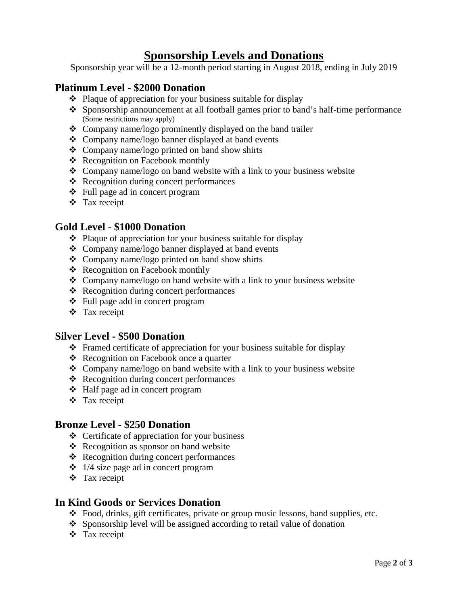# **Sponsorship Levels and Donations**

Sponsorship year will be a 12-month period starting in August 2018, ending in July 2019

### **Platinum Level - \$2000 Donation**

- $\triangle$  Plaque of appreciation for your business suitable for display
- Sponsorship announcement at all football games prior to band's half-time performance (Some restrictions may apply)
- Company name/logo prominently displayed on the band trailer
- Company name/logo banner displayed at band events
- Company name/logo printed on band show shirts
- Recognition on Facebook monthly
- $\triangleleft$  Company name/logo on band website with a link to your business website
- Recognition during concert performances
- Full page ad in concert program
- Tax receipt

#### **Gold Level - \$1000 Donation**

- $\triangleleft$  Plaque of appreciation for your business suitable for display
- Company name/logo banner displayed at band events
- Company name/logo printed on band show shirts
- Recognition on Facebook monthly
- Company name/logo on band website with a link to your business website
- Recognition during concert performances
- Full page add in concert program
- Tax receipt

### **Silver Level - \$500 Donation**

- Framed certificate of appreciation for your business suitable for display
- Recognition on Facebook once a quarter
- Company name/logo on band website with a link to your business website
- Recognition during concert performances
- Half page ad in concert program
- Tax receipt

### **Bronze Level - \$250 Donation**

- $\triangleleft$  Certificate of appreciation for your business
- $\triangle$  Recognition as sponsor on band website
- Recognition during concert performances
- $\div$  1/4 size page ad in concert program
- Tax receipt

#### **In Kind Goods or Services Donation**

- Food, drinks, gift certificates, private or group music lessons, band supplies, etc.
- Sponsorship level will be assigned according to retail value of donation
- Tax receipt